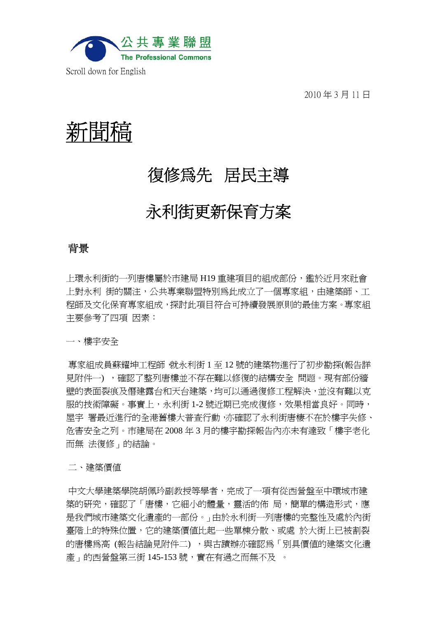

2010 年 3 月 11 日



# 復修為先居民主導

# 永利街更新保育方案

## 背景

上環永利街的一列唐樓屬於市建局 H19 重建項目的組成部份,鑑於近月來社會 上對永利 街的關注,公共專業聯盟特別為此成立了一個專家組,由建築師、工 程師及文化保育專家組成,探討此項目符合可持續發展原則的最佳方案。專家組 主要參考了四項 因素:

一、樓宇安全

專家組成員蘇耀坤工程師,就永利街 1 至 12 號的建築物進行了初步勘探(報告詳 見附件一) ,確認了整列唐樓並不存在難以修復的結構安全 問题。現有部份牆 壁的表面裂痕及僭建露台和天台建築,均可以通過復修工程解決,並沒有難以克 服的技術障礙。事實上,永利街 1-2 號近期已完成復修,效果相當良好。同時, 屋宇 署最近進行的全港舊樓大普查行動,亦確認了永利街唐棲不在於樓宇失修、 危害安全之列。市建局在 2008 年 3 月的樓宇勘探報告內亦未有達致「樓宇老化 而無 法復修」的結論。

二、建築價值

中文大學建築學院胡佩玪副教授等學者,完成了一項有從西營盤至中環城市建 築的研究,確認了「唐樓,它細小的體量,靈活的佈 局,簡單的構浩形式,應 是我們城市建築文化遺產的一部份。」由於永利街一列唐樓的完整性及處於內街 臺階上的特殊位置,它的建築價值比起一些單棟分散、或處 於大街上已被割裂 的唐樓為高 (報告結論見附件二),與古蹟辦亦確認為「別具價值的建築文化遺 產」的西營盤第三街 145-153 號,實在有過之而無不及 。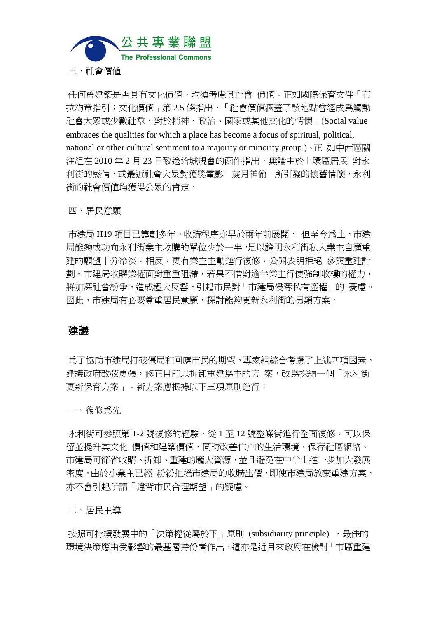

三、社會價值

任何舊建築是否具有文化價值,均須考慮其社會 價值。正如國際保育文件「布 拉約章指引:文化價值」第 2.5 條指出,「社會價值涵蓋了該地點曾經成為觸動 社會大眾或少數社羣,對於精神、政治、國家或其他文化的情懷」(Social value embraces the qualities for which a place has become a focus of spiritual, political, national or other cultural sentiment to a majority or minority group.)。正 如中西區關 注組在 2010 年 2 月 23 日致送给城規會的函件指出,無論由於上環區居民 對永 利街的感情,或最近社會大眾對獲獎電影「歲月神偷」所引發的懷舊情懷,永利 街的社會價值均獲得公眾的肯定。

四、居民意願

市建局 H19 項目已籌劃多年,收購程序亦早於兩年前展開, 但至今為止,市建 局能夠成功向永利街業主收購的單位少於一半,足以證明永利街私人業主自願重 建的願望十分冷淡。相反,更有業主主動進行復修,公開表明拒絕 參與重建計 劃。市建局收購業權面對重重阻滯,若果不惜對逾半業主行使強制收樓的權力, 將加深社會紛爭,造成極大反響,引起市民對「市建局侵奪私有產權」的 憂慮。 因此,市建局有必要尊重居民意願,探討能夠更新永利街的另類方案。

### 建議

**為了協助市建局打破僵局和回應市民的期望,專家組綜合考慮了上述四項因素,** 建議政府改弦更張,修正目前以拆卸重建為主的方 案,改為採納一個「永利街 更新保育方案」。新方案應根據以下三項原則進行:

一、復修為先

永利街可参照第 1-2 號復修的經驗,從 1 至 12 號整條街進行全面復修,可以保 留並提升其文化 價值和建築價值,同時改善住户的生活環境,保存社區網絡。 市建局可節省收購、拆卸、重建的龐大資源,並且避免在中半山進一步加大發展 密度。由於小業主已經 紛紛拒絕市建局的收購出價,即使市建局放棄重建方案, 亦不會引起所謂「違背市民合理期望」的疑慮。

二、居民主導

按照可持續發展中的「決策權從屬於下」原則 (subsidiarity principle), 最佳的 環境決策應由受影響的最基層持份者作出,這亦是近月來政府在檢討「市區重建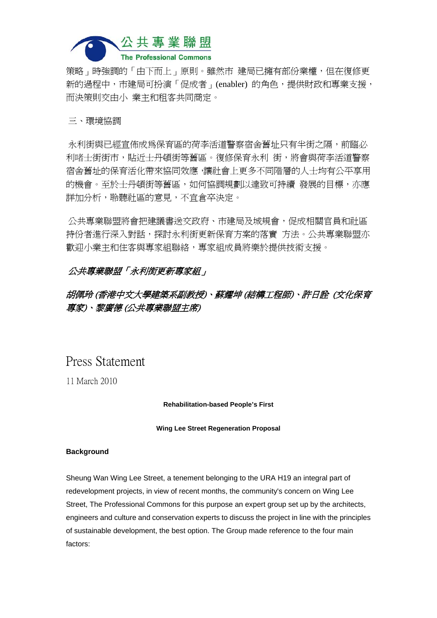

策略 」時強調的「由下而上」原則。雖然市 建局已擁有部份業權,但在復修更 新的過程中,市建局可扮演「促成者」(enabler) 的角色,提供財政和專業支援, 而決策則交由小 業主和租客共同商定。

#### 三、環境協調

永利街與已經宣佈成為保育區的荷李活道警察宿舍舊址只有半街之隔,前臨必 利啫士街街市,貼沂士丹頓街等舊區。復修保育永利 街,將會與荷李活道警察 宿舍舊址的保育活化帶來協同效應,讓社會上更多不同階層的人士均有公平享用 的機會。至於士丹頓街等舊區,如何協調規劃以達致可持續 發展的目標,亦應 詳加分析,聆聽社區的意見,不宜倉卒決定。

公共專業聯盟將會把建議書送交政府、市建局及城規會,促成相關官員和社區 持份者進行深入對話,探討永利街更新保育方案的落實 方法。公共專業聯盟亦 歡迎小業主和住客與專家組聯絡,專家組成員將樂於提供技術支援。

### 公共專業聯盟「永利街更新專家組」

## 胡佩玲 (香港中文大學建築系副教授)、蘇耀坤 (結構工程師)、許日詮 (文化保育 專家)、黎廣德 (公共專業聯盟主席)

## Press Statement

11 March 2010

#### **Rehabilitation-based People's First**

#### **Wing Lee Street Regeneration Proposal**

#### **Background**

Sheung Wan Wing Lee Street, a tenement belonging to the URA H19 an integral part of redevelopment projects, in view of recent months, the community's concern on Wing Lee Street, The Professional Commons for this purpose an expert group set up by the architects, engineers and culture and conservation experts to discuss the project in line with the principles of sustainable development, the best option. The Group made reference to the four main factors: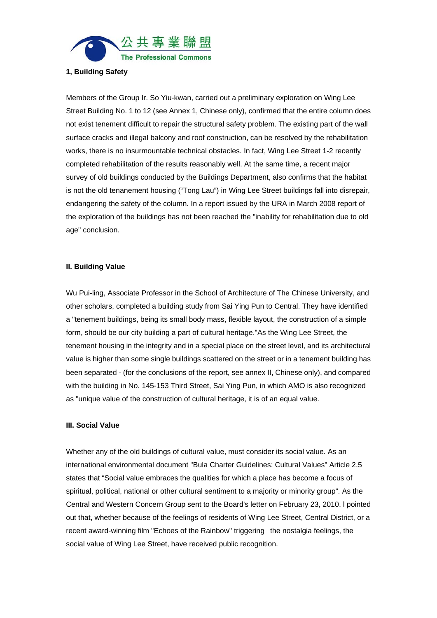

#### **1, Building Safety**

Members of the Group Ir. So Yiu-kwan, carried out a preliminary exploration on Wing Lee Street Building No. 1 to 12 (see Annex 1, Chinese only), confirmed that the entire column does not exist tenement difficult to repair the structural safety problem. The existing part of the wall surface cracks and illegal balcony and roof construction, can be resolved by the rehabilitation works, there is no insurmountable technical obstacles. In fact, Wing Lee Street 1-2 recently completed rehabilitation of the results reasonably well. At the same time, a recent major survey of old buildings conducted by the Buildings Department, also confirms that the habitat is not the old tenanement housing ("Tong Lau") in Wing Lee Street buildings fall into disrepair, endangering the safety of the column. In a report issued by the URA in March 2008 report of the exploration of the buildings has not been reached the "inability for rehabilitation due to old age" conclusion.

#### **II. Building Value**

Wu Pui-ling, Associate Professor in the School of Architecture of The Chinese University, and other scholars, completed a building study from Sai Ying Pun to Central. They have identified a "tenement buildings, being its small body mass, flexible layout, the construction of a simple form, should be our city building a part of cultural heritage."As the Wing Lee Street, the tenement housing in the integrity and in a special place on the street level, and its architectural value is higher than some single buildings scattered on the street or in a tenement building has been separated - (for the conclusions of the report, see annex II, Chinese only), and compared with the building in No. 145-153 Third Street, Sai Ying Pun, in which AMO is also recognized as "unique value of the construction of cultural heritage, it is of an equal value.

#### **III. Social Value**

Whether any of the old buildings of cultural value, must consider its social value. As an international environmental document "Bula Charter Guidelines: Cultural Values" Article 2.5 states that "Social value embraces the qualities for which a place has become a focus of spiritual, political, national or other cultural sentiment to a majority or minority group". As the Central and Western Concern Group sent to the Board's letter on February 23, 2010, l pointed out that, whether because of the feelings of residents of Wing Lee Street, Central District, or a recent award-winning film "Echoes of the Rainbow" triggering the nostalgia feelings, the social value of Wing Lee Street, have received public recognition.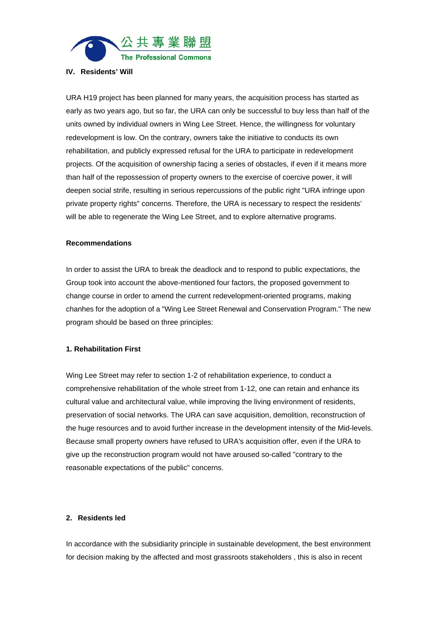

#### **IV. Residents' Will**

URA H19 project has been planned for many years, the acquisition process has started as early as two years ago, but so far, the URA can only be successful to buy less than half of the units owned by individual owners in Wing Lee Street. Hence, the willingness for voluntary redevelopment is low. On the contrary, owners take the initiative to conducts its own rehabilitation, and publicly expressed refusal for the URA to participate in redevelopment projects. Of the acquisition of ownership facing a series of obstacles, if even if it means more than half of the repossession of property owners to the exercise of coercive power, it will deepen social strife, resulting in serious repercussions of the public right "URA infringe upon private property rights" concerns. Therefore, the URA is necessary to respect the residents' will be able to regenerate the Wing Lee Street, and to explore alternative programs.

#### **Recommendations**

In order to assist the URA to break the deadlock and to respond to public expectations, the Group took into account the above-mentioned four factors, the proposed government to change course in order to amend the current redevelopment-oriented programs, making chanhes for the adoption of a "Wing Lee Street Renewal and Conservation Program." The new program should be based on three principles:

#### **1. Rehabilitation First**

Wing Lee Street may refer to section 1-2 of rehabilitation experience, to conduct a comprehensive rehabilitation of the whole street from 1-12, one can retain and enhance its cultural value and architectural value, while improving the living environment of residents, preservation of social networks. The URA can save acquisition, demolition, reconstruction of the huge resources and to avoid further increase in the development intensity of the Mid-levels. Because small property owners have refused to URA's acquisition offer, even if the URA to give up the reconstruction program would not have aroused so-called "contrary to the reasonable expectations of the public" concerns.

#### **2. Residents led**

In accordance with the subsidiarity principle in sustainable development, the best environment for decision making by the affected and most grassroots stakeholders , this is also in recent